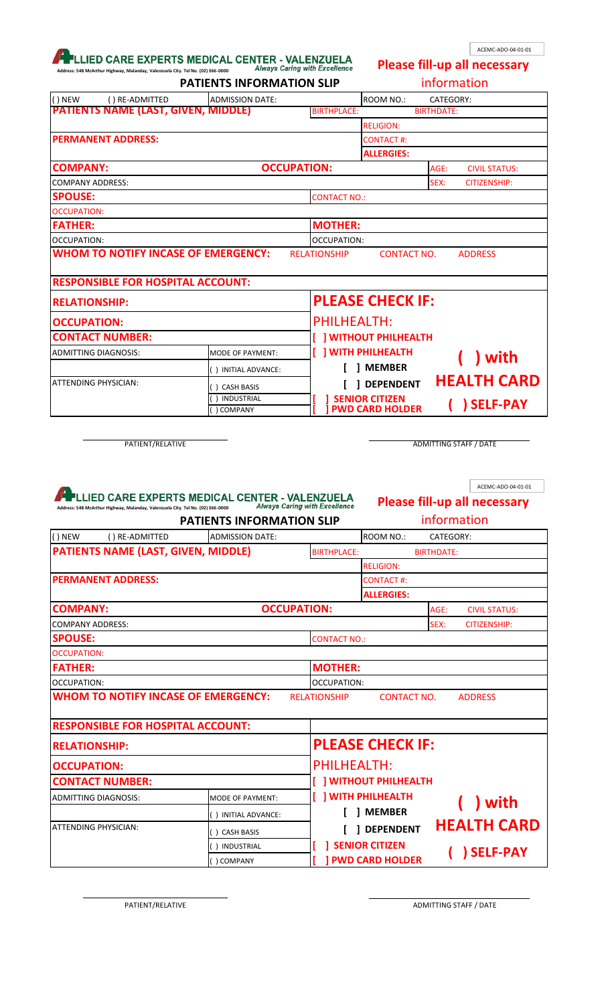## **ADDRESS MEDICAL CENTER - VALENZUELA**<br>Always Carina with Excellence

ACEMC-ADO-04-01-01

| anday, Valenzuela City. Tel No. (02) 366-0000 | Always Caring with Excellence    |
|-----------------------------------------------|----------------------------------|
|                                               | <b>PATIENTS INFORMATION SLIP</b> |

**Please fill-up all necessary** 

| Address: 548 McArthur Highway, Malanday, Valenzuela City. Tel No. (02) 366-0000                                                   | <b>PATIENTS INFORMATION SLIP</b>     |                          |                         | information                               |
|-----------------------------------------------------------------------------------------------------------------------------------|--------------------------------------|--------------------------|-------------------------|-------------------------------------------|
| $()$ NEW<br>() RE-ADMITTED<br><b>ADMISSION DATE:</b>                                                                              |                                      |                          | ROOM NO.:               | CATEGORY:                                 |
| <b>PATIENTS NAME (LAST, GIVEN, MIDDLE)</b>                                                                                        |                                      | <b>BIRTHPLACE:</b>       |                         | <b>BIRTHDATE:</b>                         |
|                                                                                                                                   |                                      |                          | <b>RELIGION:</b>        |                                           |
| <b>PERMANENT ADDRESS:</b>                                                                                                         |                                      |                          | <b>CONTACT#:</b>        |                                           |
|                                                                                                                                   |                                      |                          | <b>ALLERGIES:</b>       |                                           |
| <b>COMPANY:</b>                                                                                                                   | <b>OCCUPATION:</b>                   |                          |                         | AGE:<br><b>CIVIL STATUS:</b>              |
| <b>COMPANY ADDRESS:</b>                                                                                                           |                                      |                          |                         | SEX:<br><b>CITIZENSHIP:</b>               |
| <b>SPOUSE:</b>                                                                                                                    |                                      | <b>CONTACT NO.:</b>      |                         |                                           |
| <b>OCCUPATION:</b>                                                                                                                |                                      |                          |                         |                                           |
| <b>FATHER:</b>                                                                                                                    |                                      | <b>MOTHER:</b>           |                         |                                           |
| OCCUPATION:                                                                                                                       |                                      | OCCUPATION:              |                         |                                           |
| <b>WHOM TO NOTIFY INCASE OF EMERGENCY:</b>                                                                                        | <b>RELATIONSHIP</b>                  |                          | <b>CONTACT NO.</b>      | <b>ADDRESS</b>                            |
| <b>RESPONSIBLE FOR HOSPITAL ACCOUNT:</b>                                                                                          |                                      |                          |                         |                                           |
| <b>RELATIONSHIP:</b>                                                                                                              |                                      |                          | <b>PLEASE CHECK IF:</b> |                                           |
| <b>OCCUPATION:</b>                                                                                                                |                                      | <b>PHILHEALTH:</b>       |                         |                                           |
| <b>CONTACT NUMBER:</b>                                                                                                            |                                      |                          | [] WITHOUT PHILHEALTH   |                                           |
| ADMITTING DIAGNOSIS:<br>MODE OF PAYMENT:                                                                                          |                                      | <b>J WITH PHILHEALTH</b> |                         |                                           |
| () INITIAL ADVANCE:                                                                                                               |                                      |                          | ] MEMBER                | ) with                                    |
| ATTENDING PHYSICIAN:<br>() CASH BASIS                                                                                             |                                      |                          | <b>DEPENDENT</b>        | <b>HEALTH CARD</b>                        |
|                                                                                                                                   |                                      |                          |                         |                                           |
| INDUSTRIAL<br>) COMPANY<br>PATIENT/RELATIVE                                                                                       |                                      | <b>SENIOR CITIZEN</b>    | <b>PWD CARD HOLDER</b>  | SELF-PAY<br><b>ADMITTING STAFF / DATE</b> |
|                                                                                                                                   |                                      |                          |                         | ACEMC-ADO-04-01-01                        |
| LLIED CARE EXPERTS MEDICAL CENTER - VALENZUELA<br>Address: 548 McArthur Highway, Malanday, Valenzuela City. Tel No. (02) 366-0000 | <b>Always Caring with Excellence</b> |                          |                         | <b>Please fill-up all necessary</b>       |
|                                                                                                                                   | <b>PATIENTS INFORMATION SLIP</b>     |                          |                         | information                               |
| $()$ NEW<br><b>ADMISSION DATE:</b><br>() RE-ADMITTED                                                                              |                                      |                          | ROOM NO.:               | CATEGORY:                                 |
| <b>PATIENTS NAME (LAST, GIVEN, MIDDLE)</b>                                                                                        |                                      | <b>BIRTHPLACE:</b>       |                         | <b>BIRTHDATE:</b>                         |
|                                                                                                                                   |                                      |                          | <b>RELIGION:</b>        |                                           |
| <b>PERMANENT ADDRESS:</b>                                                                                                         |                                      |                          | <b>CONTACT#:</b>        |                                           |
|                                                                                                                                   |                                      |                          | <b>ALLERGIES:</b>       |                                           |
| <b>COMPANY:</b>                                                                                                                   | <b>OCCUPATION:</b>                   |                          |                         | AGE:<br><b>CIVIL STATUS:</b>              |
| <b>COMPANY ADDRESS:</b>                                                                                                           |                                      |                          |                         | SEX:<br><b>CITIZENSHIP:</b>               |
| <b>SPOUSE:</b>                                                                                                                    |                                      | <b>CONTACT NO.:</b>      |                         |                                           |
| <b>OCCUPATION:</b>                                                                                                                |                                      |                          |                         |                                           |
| <b>FATHER:</b>                                                                                                                    |                                      | <b>MOTHER:</b>           |                         |                                           |
| <b>OCCUPATION:</b>                                                                                                                |                                      | OCCUPATION:              |                         |                                           |
| <b>WHOM TO NOTIFY INCASE OF EMERGENCY:</b>                                                                                        | <b>RELATIONSHIP</b>                  |                          | <b>CONTACT NO.</b>      | <b>ADDRESS</b>                            |
| <b>RESPONSIBLE FOR HOSPITAL ACCOUNT:</b>                                                                                          |                                      |                          |                         |                                           |

| <b>OCCUPATION:</b>     |                   | <b>PHILHEALTH:</b>          |                    |
|------------------------|-------------------|-----------------------------|--------------------|
| <b>CONTACT NUMBER:</b> |                   | <b>I WITHOUT PHILHEALTH</b> |                    |
| ADMITTING DIAGNOSIS:   | MODE OF PAYMENT:  | <b>J WITH PHILHEALTH</b>    | ) with             |
|                        | INITIAL ADVANCE:  | <b>MEMBER</b>               |                    |
| ATTENDING PHYSICIAN:   | <b>CASH BASIS</b> | <b>DEPENDENT</b>            | <b>HEALTH CARD</b> |
|                        | INDUSTRIAL        | <b>1 SENIOR CITIZEN</b>     | SELF-PAY           |
|                        | <b>COMPANY</b>    | <b>  PWD CARD HOLDER</b>    |                    |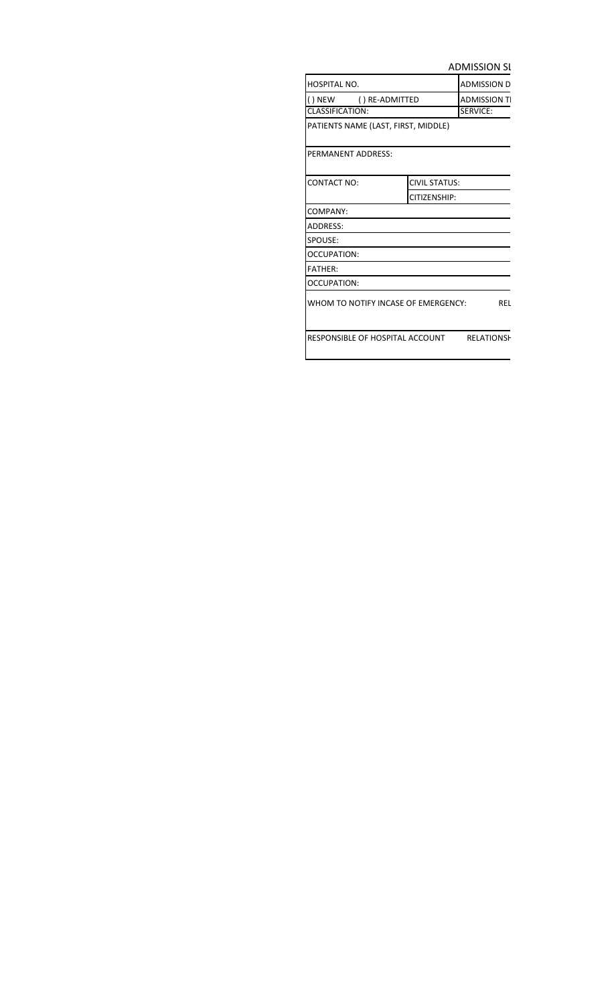**ADMISSION SI** 

| HOSPITAL NO.                               |               | <b>ADMISSION D</b> |
|--------------------------------------------|---------------|--------------------|
| () NEW () RE-ADMITTED                      |               | <b>ADMISSION T</b> |
| <b>CLASSIFICATION:</b>                     |               | SERVICE:           |
| PATIENTS NAME (LAST, FIRST, MIDDLE)        |               |                    |
| PERMANENT ADDRESS:                         |               |                    |
| <b>CONTACT NO:</b>                         | CIVIL STATUS: |                    |
|                                            | CITIZENSHIP:  |                    |
| COMPANY:                                   |               |                    |
| ADDRESS:                                   |               |                    |
| SPOUSE:                                    |               |                    |
| OCCUPATION:                                |               |                    |
| <b>FATHER:</b>                             |               |                    |
| <b>OCCUPATION:</b>                         |               |                    |
| WHOM TO NOTIFY INCASE OF EMERGENCY:        |               | REL                |
| RESPONSIBLE OF HOSPITAL ACCOUNT RELATIONSH |               |                    |